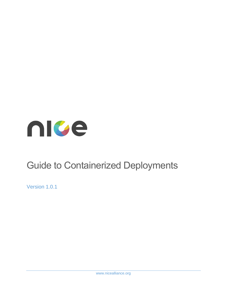

# Guide to Containerized Deployments

Version 1.0.1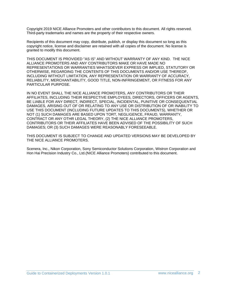Copyright 2019 NICE Alliance Promoters and other contributors to this document. All rights reserved. Third-party trademarks and names are the property of their respective owners.

Recipients of this document may copy, distribute, publish, or display this document so long as this copyright notice, license and disclaimer are retained with all copies of the document. No license is granted to modify this document.

THIS DOCUMENT IS PROVIDED "AS IS" AND WITHOUT WARRANTY OF ANY KIND. THE NICE ALLIANCE PROMOTERS AND ANY CONTRIBUTORS MAKE OR HAVE MADE NO REPRESENTATIONS OR WARRANTIES WHATSOEVER EXPRESS OR IMPLIED, STATUTORY OR OTHERWISE, REGARDING THE CONTENTS OF THIS DOCUMENTS AND/OR USE THEREOF, INCLUDING WITHOUT LIMITATION, ANY REPRESENTATION OR WARRANTY OF ACCURACY, RELIABILITY, MERCHANTABILITY, GOOD TITLE, NON-INFRINGEMENT, OR FITNESS FOR ANY PARTICULAR PURPOSE.

IN NO EVENT SHALL THE NICE ALLIANCE PROMOTERS, ANY CONTRIBUTORS OR THEIR AFFILIATES, INCLUDING THEIR RESPECTIVE EMPLOYEES, DIRECTORS, OFFICERS OR AGENTS, BE LIABLE FOR ANY DIRECT, INDIRECT, SPECIAL, INCIDENTAL, PUNITIVE OR CONSEQUENTIAL DAMAGES, ARISING OUT OF OR RELATING TO ANY USE OR DISTRIBUTION OF OR INABILITY TO USE THIS DOCUMENT (INCLUDING FUTURE UPDATES TO THIS DOCUMENTS), WHETHER OR NOT (1) SUCH DAMAGES ARE BASED UPON TORT, NEGLIGENCE, FRAUD, WARRANTY, CONTRACT OR ANY OTHR LEGAL THEORY, (2) THE NICE ALLIANCE PROMOTERS, CONTRIBUTORS OR THEIR AFFILIATES HAVE BEEN ADVISED OF THE POSSIBILITY OF SUCH DAMAGES; OR (3) SUCH DAMAGES WERE REASONABLY FORESEEABLE.

THIS DOCUMENT IS SUBJECT TO CHANGE AND UPDATED VERSIONS MAY BE DEVELOPED BY THE NICE ALLIANCE PROMOTERS.

Scenera, Inc., Nikon Corporation, Sony Semiconductor Solutions Corporation, Wistron Corporation and Hon Hai Precision Industry Co., Ltd.(NICE Alliance Promoters) contributed to this document.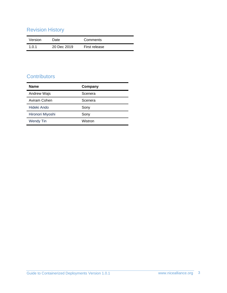## Revision History

| Version | Date        | Comments      |
|---------|-------------|---------------|
| 1.0.1   | 20 Dec 2019 | First release |

## **Contributors**

| <b>Name</b>        | Company |
|--------------------|---------|
| <b>Andrew Wajs</b> | Scenera |
| Aviram Cohen       | Scenera |
| Hideki Ando        | Sony    |
| Hironori Miyoshi   | Sony    |
| <b>Wendy Tin</b>   | Wistron |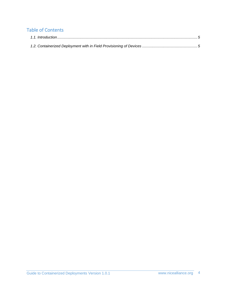### Table of Contents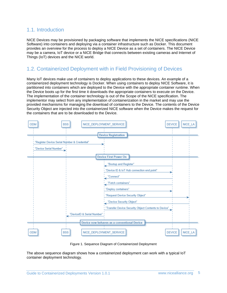#### <span id="page-4-0"></span>1.1. Introduction

NICE Devices may be provisioned by packaging software that implements the NICE specifications (NICE Software) into containers and deploying via a container infrastructure such as Docker. This document provides an overview for the process to deploy a NICE Device as a set of containers. The NICE Device may be a camera, IoT device or a NICE Bridge that connects between existing cameras and Internet of Things (IoT) devices and the NICE world.

#### <span id="page-4-1"></span>1.2. Containerized Deployment with in Field Provisioning of Devices

Many IoT devices make use of containers to deploy applications to these devices. An example of a containerized deployment technology is Docker. When using containers to deploy NICE Software, it is partitioned into containers which are deployed to the Device with the appropriate container runtime. When the Device boots up for the first time it downloads the appropriate containers to execute on the Device. The implementation of the container technology is out of the Scope of the NICE specification. The implementor may select from any implementation of containerization in the market and may use the provided mechanisms for managing the download of containers to the Device. The contents of the Device Security Object are injected into the containerized NICE software when the Device makes the request for the containers that are to be downloaded to the Device.



Figure 1. Sequence Diagram of Containerized Deployment

The above sequence diagram shows how a containerized deployment can work with a typical IoT container deployment technology.